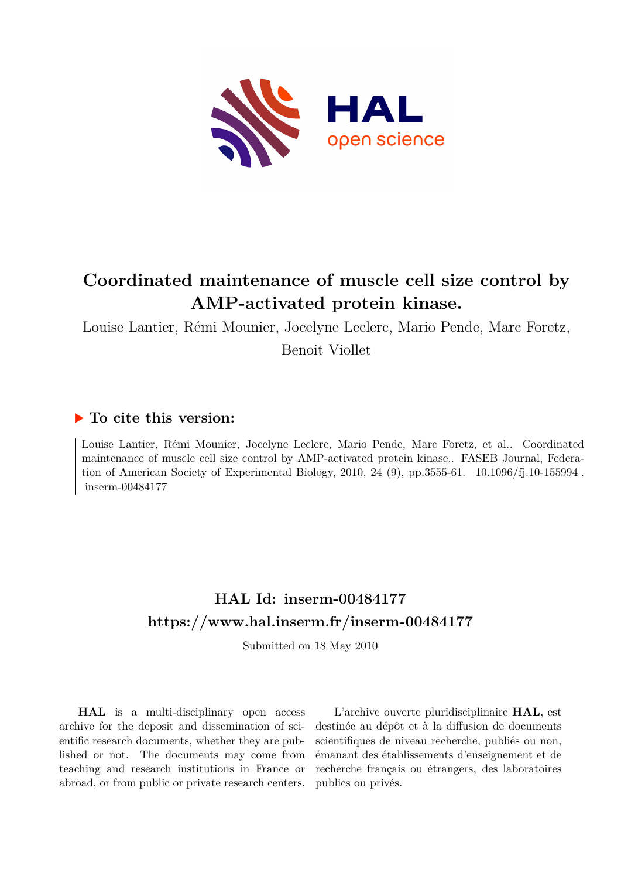

# **Coordinated maintenance of muscle cell size control by AMP-activated protein kinase.**

Louise Lantier, Rémi Mounier, Jocelyne Leclerc, Mario Pende, Marc Foretz, Benoit Viollet

## **To cite this version:**

Louise Lantier, Rémi Mounier, Jocelyne Leclerc, Mario Pende, Marc Foretz, et al.. Coordinated maintenance of muscle cell size control by AMP-activated protein kinase.. FASEB Journal, Federation of American Society of Experimental Biology, 2010, 24 (9), pp.3555-61.  $10.1096/fj.10-155994$ . inserm-00484177

# **HAL Id: inserm-00484177 <https://www.hal.inserm.fr/inserm-00484177>**

Submitted on 18 May 2010

**HAL** is a multi-disciplinary open access archive for the deposit and dissemination of scientific research documents, whether they are published or not. The documents may come from teaching and research institutions in France or abroad, or from public or private research centers.

L'archive ouverte pluridisciplinaire **HAL**, est destinée au dépôt et à la diffusion de documents scientifiques de niveau recherche, publiés ou non, émanant des établissements d'enseignement et de recherche français ou étrangers, des laboratoires publics ou privés.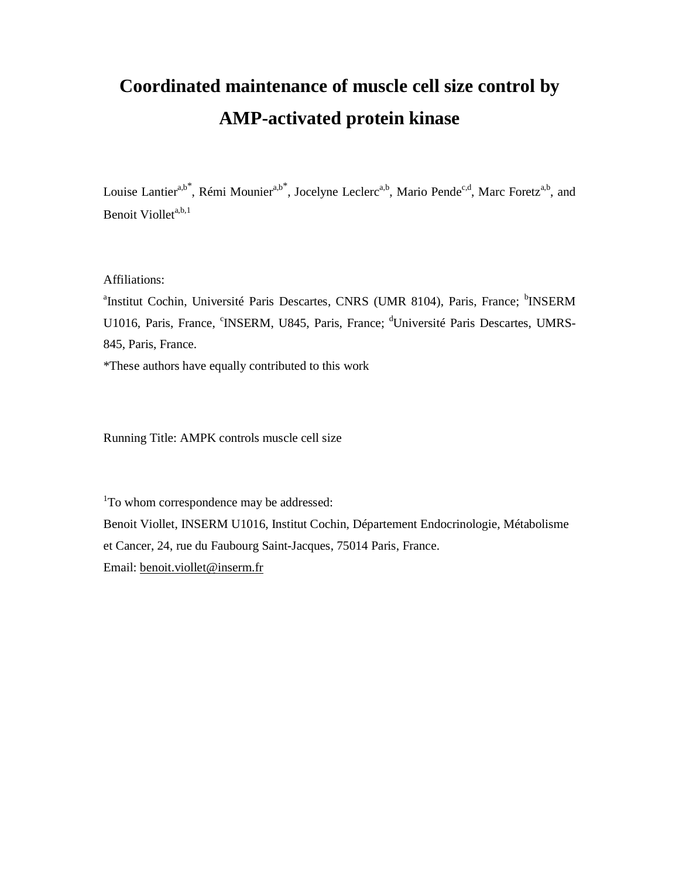# **Coordinated maintenance of muscle cell size control by AMP-activated protein kinase**

Louise Lantier<sup>a,b\*</sup>, Rémi Mounier<sup>a,b\*</sup>, Jocelyne Leclerc<sup>a,b</sup>, Mario Pende<sup>c,d</sup>, Marc Foretz<sup>a,b</sup>, and Benoit Viollet<sup>a,b,1</sup>

Affiliations:

<sup>a</sup>Institut Cochin, Université Paris Descartes, CNRS (UMR 8104), Paris, France; <sup>b</sup>INSERM U1016, Paris, France, <sup>c</sup>INSERM, U845, Paris, France; <sup>d</sup>Université Paris Descartes, UMRS-845, Paris, France.

\*These authors have equally contributed to this work

Running Title: AMPK controls muscle cell size

<sup>1</sup>To whom correspondence may be addressed:

Benoit Viollet, INSERM U1016, Institut Cochin, Département Endocrinologie, Métabolisme et Cancer, 24, rue du Faubourg Saint-Jacques, 75014 Paris, France. Email: benoit.viollet@inserm.fr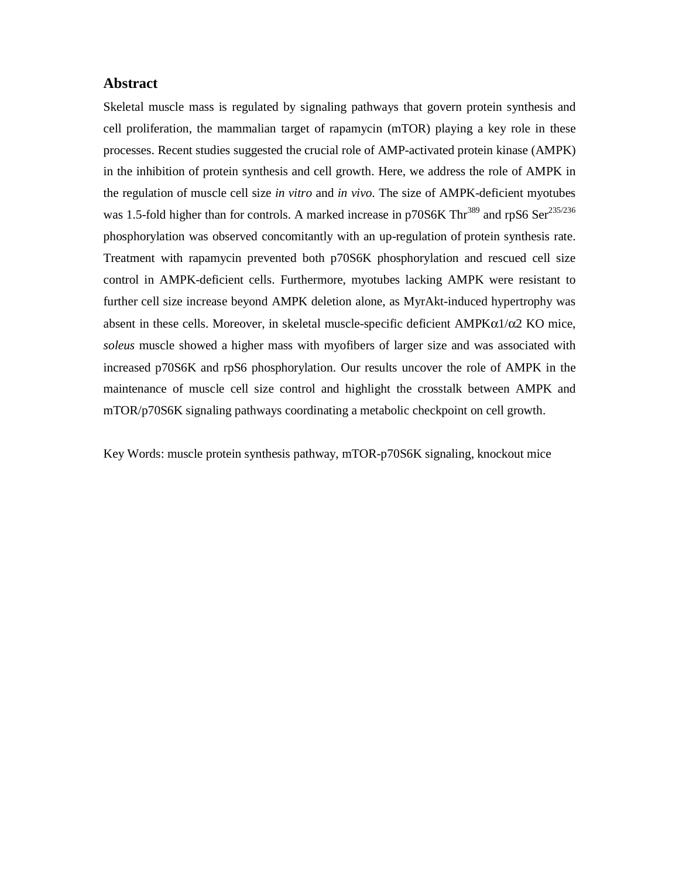#### **Abstract**

Skeletal muscle mass is regulated by signaling pathways that govern protein synthesis and cell proliferation, the mammalian target of rapamycin (mTOR) playing a key role in these processes. Recent studies suggested the crucial role of AMP-activated protein kinase (AMPK) in the inhibition of protein synthesis and cell growth. Here, we address the role of AMPK in the regulation of muscle cell size *in vitro* and *in vivo*. The size of AMPK-deficient myotubes was 1.5-fold higher than for controls. A marked increase in p70S6K Thr<sup>389</sup> and rpS6 Ser<sup>235/236</sup> phosphorylation was observed concomitantly with an up-regulation of protein synthesis rate. Treatment with rapamycin prevented both p70S6K phosphorylation and rescued cell size control in AMPK-deficient cells. Furthermore, myotubes lacking AMPK were resistant to further cell size increase beyond AMPK deletion alone, as MyrAkt-induced hypertrophy was absent in these cells. Moreover, in skeletal muscle-specific deficient AMPKα1/α2 KO mice, *soleus* muscle showed a higher mass with myofibers of larger size and was associated with increased p70S6K and rpS6 phosphorylation. Our results uncover the role of AMPK in the maintenance of muscle cell size control and highlight the crosstalk between AMPK and mTOR/p70S6K signaling pathways coordinating a metabolic checkpoint on cell growth.

Key Words: muscle protein synthesis pathway, mTOR-p70S6K signaling, knockout mice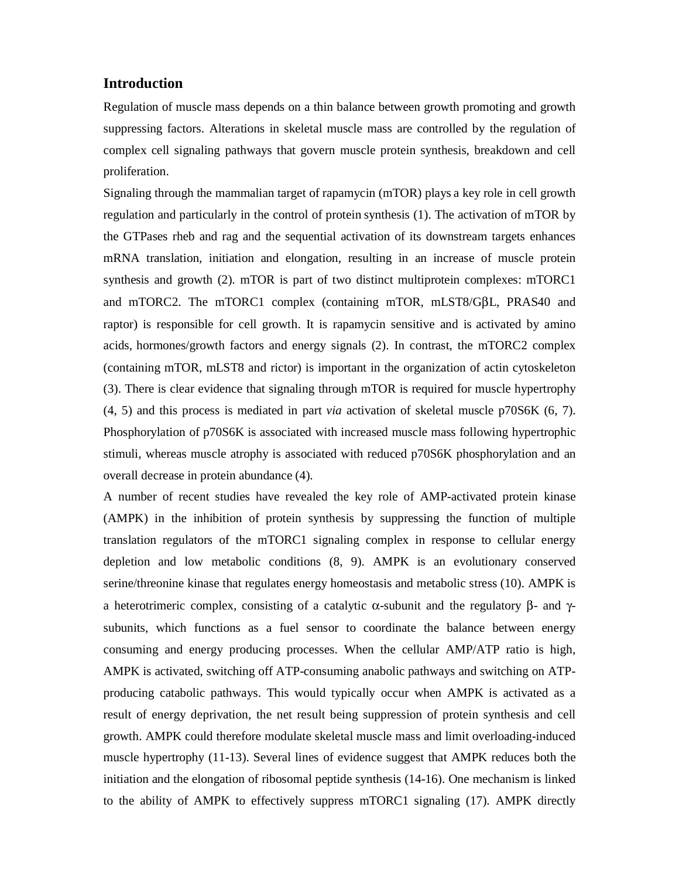#### **Introduction**

Regulation of muscle mass depends on a thin balance between growth promoting and growth suppressing factors. Alterations in skeletal muscle mass are controlled by the regulation of complex cell signaling pathways that govern muscle protein synthesis, breakdown and cell proliferation.

Signaling through the mammalian target of rapamycin (mTOR) plays a key role in cell growth regulation and particularly in the control of protein synthesis (1). The activation of mTOR by the GTPases rheb and rag and the sequential activation of its downstream targets enhances mRNA translation, initiation and elongation, resulting in an increase of muscle protein synthesis and growth (2). mTOR is part of two distinct multiprotein complexes: mTORC1 and mTORC2. The mTORC1 complex (containing mTOR, mLST8/GβL, PRAS40 and raptor) is responsible for cell growth. It is rapamycin sensitive and is activated by amino acids, hormones/growth factors and energy signals (2). In contrast, the mTORC2 complex (containing mTOR, mLST8 and rictor) is important in the organization of actin cytoskeleton (3). There is clear evidence that signaling through mTOR is required for muscle hypertrophy (4, 5) and this process is mediated in part *via* activation of skeletal muscle p70S6K (6, 7). Phosphorylation of p70S6K is associated with increased muscle mass following hypertrophic stimuli, whereas muscle atrophy is associated with reduced p70S6K phosphorylation and an overall decrease in protein abundance (4).

A number of recent studies have revealed the key role of AMP-activated protein kinase (AMPK) in the inhibition of protein synthesis by suppressing the function of multiple translation regulators of the mTORC1 signaling complex in response to cellular energy depletion and low metabolic conditions (8, 9). AMPK is an evolutionary conserved serine/threonine kinase that regulates energy homeostasis and metabolic stress (10). AMPK is a heterotrimeric complex, consisting of a catalytic  $\alpha$ -subunit and the regulatory β- and γsubunits, which functions as a fuel sensor to coordinate the balance between energy consuming and energy producing processes. When the cellular AMP/ATP ratio is high, AMPK is activated, switching off ATP-consuming anabolic pathways and switching on ATPproducing catabolic pathways. This would typically occur when AMPK is activated as a result of energy deprivation, the net result being suppression of protein synthesis and cell growth. AMPK could therefore modulate skeletal muscle mass and limit overloading-induced muscle hypertrophy (11-13). Several lines of evidence suggest that AMPK reduces both the initiation and the elongation of ribosomal peptide synthesis (14-16). One mechanism is linked to the ability of AMPK to effectively suppress mTORC1 signaling (17). AMPK directly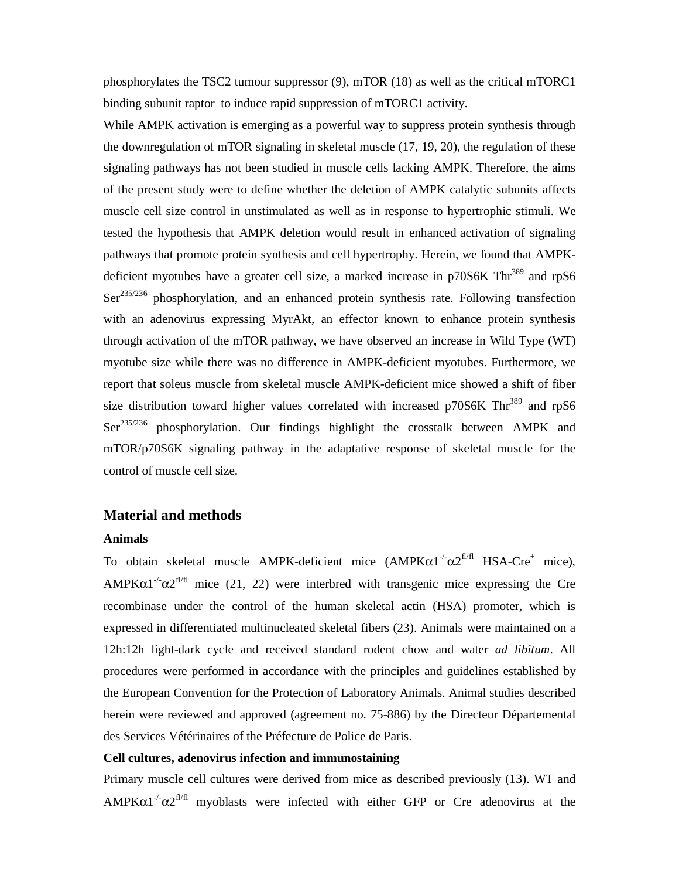phosphorylates the TSC2 tumour suppressor (9), mTOR (18) as well as the critical mTORC1 binding subunit raptor to induce rapid suppression of mTORC1 activity.

While AMPK activation is emerging as a powerful way to suppress protein synthesis through the downregulation of mTOR signaling in skeletal muscle (17, 19, 20), the regulation of these signaling pathways has not been studied in muscle cells lacking AMPK. Therefore, the aims of the present study were to define whether the deletion of AMPK catalytic subunits affects muscle cell size control in unstimulated as well as in response to hypertrophic stimuli. We tested the hypothesis that AMPK deletion would result in enhanced activation of signaling pathways that promote protein synthesis and cell hypertrophy. Herein, we found that AMPKdeficient myotubes have a greater cell size, a marked increase in  $p70S6K$  Thr<sup>389</sup> and rpS6  $\text{Ser}^{235/236}$  phosphorylation, and an enhanced protein synthesis rate. Following transfection with an adenovirus expressing MyrAkt, an effector known to enhance protein synthesis through activation of the mTOR pathway, we have observed an increase in Wild Type (WT) myotube size while there was no difference in AMPK-deficient myotubes. Furthermore, we report that soleus muscle from skeletal muscle AMPK-deficient mice showed a shift of fiber size distribution toward higher values correlated with increased  $p70S6K$  Thr<sup>389</sup> and rpS6 Ser<sup>235/236</sup> phosphorylation. Our findings highlight the crosstalk between AMPK and mTOR/p70S6K signaling pathway in the adaptative response of skeletal muscle for the control of muscle cell size.

#### **Material and methods**

#### **Animals**

To obtain skeletal muscle AMPK-deficient mice  $(AMPK\alpha 1^{-/-}\alpha 2^{f1/f1} HSA-Cre^+$  mice), AMPK $\alpha$ 1<sup>-/-</sup> $\alpha$ 2<sup>fl/fl</sup> mice (21, 22) were interbred with transgenic mice expressing the Cre recombinase under the control of the human skeletal actin (HSA) promoter, which is expressed in differentiated multinucleated skeletal fibers (23). Animals were maintained on a 12h:12h light-dark cycle and received standard rodent chow and water *ad libitum*. All procedures were performed in accordance with the principles and guidelines established by the European Convention for the Protection of Laboratory Animals. Animal studies described herein were reviewed and approved (agreement no. 75-886) by the Directeur Départemental des Services Vétérinaires of the Préfecture de Police de Paris.

#### **Cell cultures, adenovirus infection and immunostaining**

Primary muscle cell cultures were derived from mice as described previously (13). WT and AMPK $\alpha$ 1<sup>-/-</sup> $\alpha$ 2<sup>fl/fl</sup> myoblasts were infected with either GFP or Cre adenovirus at the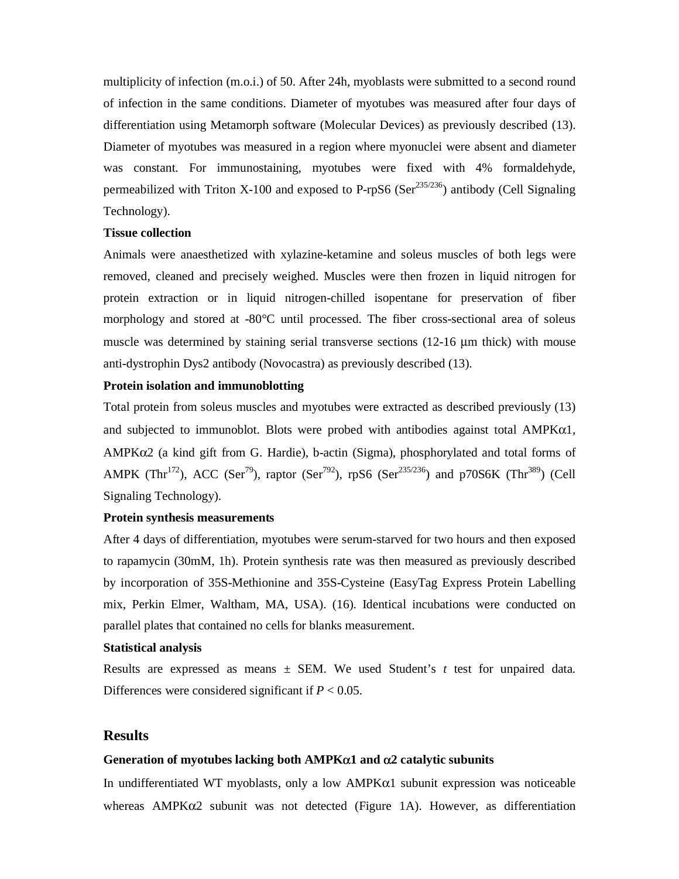multiplicity of infection (m.o.i.) of 50. After 24h, myoblasts were submitted to a second round of infection in the same conditions. Diameter of myotubes was measured after four days of differentiation using Metamorph software (Molecular Devices) as previously described (13). Diameter of myotubes was measured in a region where myonuclei were absent and diameter was constant. For immunostaining, myotubes were fixed with 4% formaldehyde, permeabilized with Triton X-100 and exposed to P-rpS6 (Ser<sup>235/236</sup>) antibody (Cell Signaling Technology).

#### **Tissue collection**

Animals were anaesthetized with xylazine-ketamine and soleus muscles of both legs were removed, cleaned and precisely weighed. Muscles were then frozen in liquid nitrogen for protein extraction or in liquid nitrogen-chilled isopentane for preservation of fiber morphology and stored at -80°C until processed. The fiber cross-sectional area of soleus muscle was determined by staining serial transverse sections (12-16 μm thick) with mouse anti-dystrophin Dys2 antibody (Novocastra) as previously described (13).

#### **Protein isolation and immunoblotting**

Total protein from soleus muscles and myotubes were extracted as described previously (13) and subjected to immunoblot. Blots were probed with antibodies against total  $AMPK\alpha1$ , AMPKα2 (a kind gift from G. Hardie), b-actin (Sigma), phosphorylated and total forms of AMPK (Thr<sup>172</sup>), ACC (Ser<sup>79</sup>), raptor (Ser<sup>792</sup>), rpS6 (Ser<sup>235/236</sup>) and p70S6K (Thr<sup>389</sup>) (Cell Signaling Technology).

#### **Protein synthesis measurements**

After 4 days of differentiation, myotubes were serum-starved for two hours and then exposed to rapamycin (30mM, 1h). Protein synthesis rate was then measured as previously described by incorporation of 35S-Methionine and 35S-Cysteine (EasyTag Express Protein Labelling mix, Perkin Elmer, Waltham, MA, USA). (16). Identical incubations were conducted on parallel plates that contained no cells for blanks measurement.

#### **Statistical analysis**

Results are expressed as means ± SEM. We used Student's *t* test for unpaired data. Differences were considered significant if  $P < 0.05$ .

#### **Results**

#### **Generation of myotubes lacking both AMPK**α**1 and** α**2 catalytic subunits**

In undifferentiated WT myoblasts, only a low  $AMPK\alpha1$  subunit expression was noticeable whereas  $AMPK\alpha2$  subunit was not detected (Figure 1A). However, as differentiation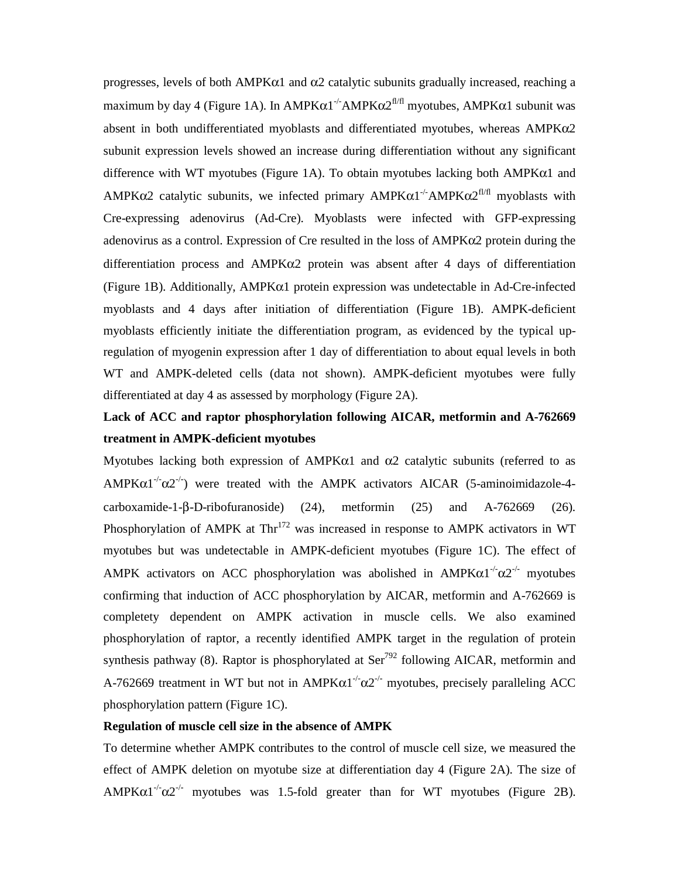progresses, levels of both AMPKα1 and α2 catalytic subunits gradually increased, reaching a maximum by day 4 (Figure 1A). In  $AMPK\alpha1^{-/-}AMPK\alpha2^{f l/f l}$  myotubes,  $AMPK\alpha1$  subunit was absent in both undifferentiated myoblasts and differentiated myotubes, whereas AMPKα2 subunit expression levels showed an increase during differentiation without any significant difference with WT myotubes (Figure 1A). To obtain myotubes lacking both AMPKα1 and AMPK $\alpha$ 2 catalytic subunits, we infected primary AMPK $\alpha$ 1<sup>-/-</sup>AMPK $\alpha$ 2<sup>fl/fl</sup> myoblasts with Cre-expressing adenovirus (Ad-Cre). Myoblasts were infected with GFP-expressing adenovirus as a control. Expression of Cre resulted in the loss of AMPKα2 protein during the differentiation process and  $\triangle MPK\alpha2$  protein was absent after 4 days of differentiation (Figure 1B). Additionally, AMPKα1 protein expression was undetectable in Ad-Cre-infected myoblasts and 4 days after initiation of differentiation (Figure 1B). AMPK-deficient myoblasts efficiently initiate the differentiation program, as evidenced by the typical upregulation of myogenin expression after 1 day of differentiation to about equal levels in both WT and AMPK-deleted cells (data not shown). AMPK-deficient myotubes were fully differentiated at day 4 as assessed by morphology (Figure 2A).

## **Lack of ACC and raptor phosphorylation following AICAR, metformin and A-762669 treatment in AMPK-deficient myotubes**

Myotubes lacking both expression of  $AMPK\alpha1$  and  $\alpha2$  catalytic subunits (referred to as AMPKα1<sup>-/-</sup>α2<sup>-/-</sup>) were treated with the AMPK activators AICAR (5-aminoimidazole-4carboxamide-1-β-D-ribofuranoside) (24), metformin (25) and A-762669 (26). Phosphorylation of AMPK at  $Thr^{172}$  was increased in response to AMPK activators in WT myotubes but was undetectable in AMPK-deficient myotubes (Figure 1C). The effect of AMPK activators on ACC phosphorylation was abolished in AMPKα1<sup>-/-</sup>α2<sup>-/-</sup> myotubes confirming that induction of ACC phosphorylation by AICAR, metformin and A-762669 is completety dependent on AMPK activation in muscle cells. We also examined phosphorylation of raptor, a recently identified AMPK target in the regulation of protein synthesis pathway (8). Raptor is phosphorylated at  $\text{Ser}^{792}$  following AICAR, metformin and A-762669 treatment in WT but not in  $AMPK\alpha1^{-1}\alpha2^{-1}$  myotubes, precisely paralleling ACC phosphorylation pattern (Figure 1C).

#### **Regulation of muscle cell size in the absence of AMPK**

To determine whether AMPK contributes to the control of muscle cell size, we measured the effect of AMPK deletion on myotube size at differentiation day 4 (Figure 2A). The size of  $AMPK\alpha1^{-1}\alpha2^{-1}$  myotubes was 1.5-fold greater than for WT myotubes (Figure 2B).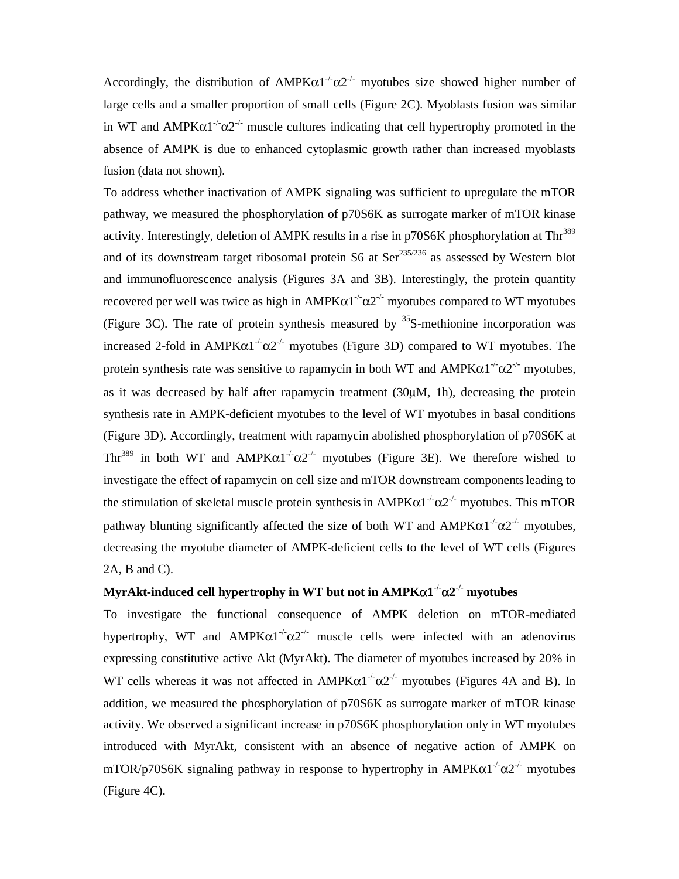Accordingly, the distribution of  $AMPK\alpha1^{-/-}\alpha2^{-/-}$  myotubes size showed higher number of large cells and a smaller proportion of small cells (Figure 2C). Myoblasts fusion was similar in WT and  $AMPK\alpha1^{-1}\alpha2^{-1}$  muscle cultures indicating that cell hypertrophy promoted in the absence of AMPK is due to enhanced cytoplasmic growth rather than increased myoblasts fusion (data not shown).

To address whether inactivation of AMPK signaling was sufficient to upregulate the mTOR pathway, we measured the phosphorylation of p70S6K as surrogate marker of mTOR kinase activity. Interestingly, deletion of AMPK results in a rise in p70S6K phosphorylation at Thr<sup>389</sup> and of its downstream target ribosomal protein  $S6$  at  $Ser^{235/236}$  as assessed by Western blot and immunofluorescence analysis (Figures 3A and 3B). Interestingly, the protein quantity recovered per well was twice as high in AMPKα1<sup>-/-</sup>α2<sup>-/-</sup> myotubes compared to WT myotubes (Figure 3C). The rate of protein synthesis measured by  $35S$ -methionine incorporation was increased 2-fold in AMPKα1<sup>-/-</sup>α2<sup>-/-</sup> myotubes (Figure 3D) compared to WT myotubes. The protein synthesis rate was sensitive to rapamycin in both WT and  $AMPK\alpha1^{-1}\alpha2^{-1}$  myotubes, as it was decreased by half after rapamycin treatment (30μM, 1h), decreasing the protein synthesis rate in AMPK-deficient myotubes to the level of WT myotubes in basal conditions (Figure 3D). Accordingly, treatment with rapamycin abolished phosphorylation of p70S6K at Thr<sup>389</sup> in both WT and  $AMPK\alpha1^{-1}\alpha2^{-1}$  myotubes (Figure 3E). We therefore wished to investigate the effect of rapamycin on cell size and mTOR downstream componentsleading to the stimulation of skeletal muscle protein synthesis in AMPKα1<sup>-/-</sup>α2<sup>-/-</sup> myotubes. This mTOR pathway blunting significantly affected the size of both WT and AMPKα1<sup>-/-</sup>α2<sup>-/-</sup> myotubes, decreasing the myotube diameter of AMPK-deficient cells to the level of WT cells (Figures 2A, B and C).

#### **MyrAkt-induced cell hypertrophy in WT but not in AMPK**α**1-/-**α**2-/- myotubes**

To investigate the functional consequence of AMPK deletion on mTOR-mediated hypertrophy, WT and AMPK $\alpha$ 1<sup>-/-</sup> $\alpha$ 2<sup>-/-</sup> muscle cells were infected with an adenovirus expressing constitutive active Akt (MyrAkt). The diameter of myotubes increased by 20% in WT cells whereas it was not affected in  $AMPK\alpha1^{-1}\alpha2^{-1}$  myotubes (Figures 4A and B). In addition, we measured the phosphorylation of p70S6K as surrogate marker of mTOR kinase activity. We observed a significant increase in p70S6K phosphorylation only in WT myotubes introduced with MyrAkt*,* consistent with an absence of negative action of AMPK on mTOR/p70S6K signaling pathway in response to hypertrophy in  $AMPKα1^{-1}α2^{-1}$  myotubes (Figure 4C).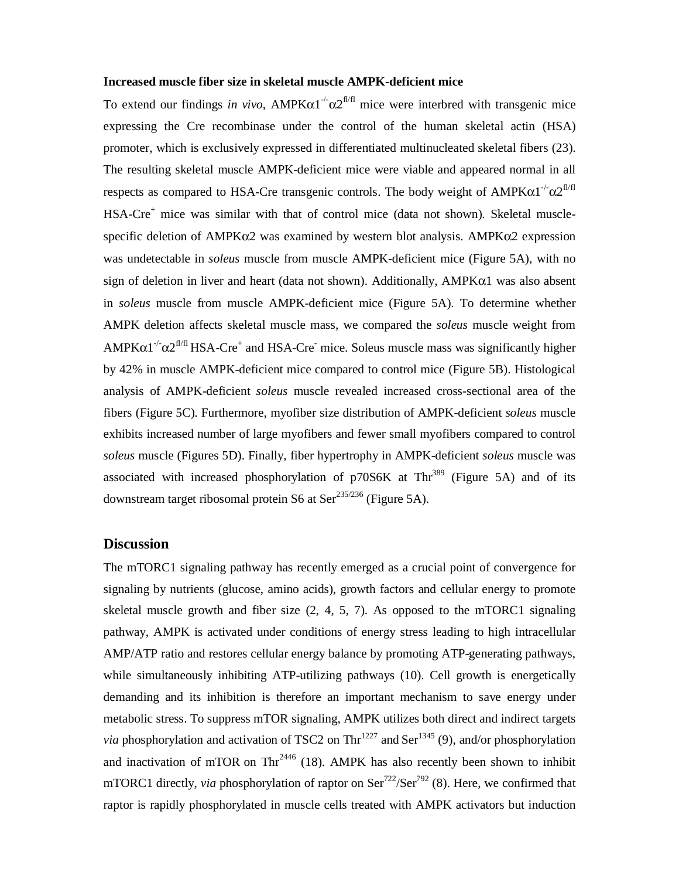#### **Increased muscle fiber size in skeletal muscle AMPK-deficient mice**

To extend our findings *in vivo*,  $AMPK\alpha1^{-1}\alpha2^{f\|f\|}$  mice were interbred with transgenic mice expressing the Cre recombinase under the control of the human skeletal actin (HSA) promoter, which is exclusively expressed in differentiated multinucleated skeletal fibers (23). The resulting skeletal muscle AMPK-deficient mice were viable and appeared normal in all respects as compared to HSA-Cre transgenic controls. The body weight of  $AMPK\alpha1^{-1}\alpha2^{fI/fI}$ HSA-Cre<sup>+</sup> mice was similar with that of control mice (data not shown). Skeletal musclespecific deletion of  $\text{AMPK}\alpha2$  was examined by western blot analysis.  $\text{AMPK}\alpha2$  expression was undetectable in *soleus* muscle from muscle AMPK-deficient mice (Figure 5A), with no sign of deletion in liver and heart (data not shown). Additionally,  $AMPK\alpha1$  was also absent in *soleus* muscle from muscle AMPK-deficient mice (Figure 5A). To determine whether AMPK deletion affects skeletal muscle mass, we compared the *soleus* muscle weight from  $AMPK\alpha1^{-1}\alpha2^{f1/f1}$  HSA-Cre<sup>+</sup> and HSA-Cre<sup>-</sup> mice. Soleus muscle mass was significantly higher by 42% in muscle AMPK-deficient mice compared to control mice (Figure 5B). Histological analysis of AMPK-deficient *soleus* muscle revealed increased cross-sectional area of the fibers (Figure 5C). Furthermore, myofiber size distribution of AMPK-deficient *soleus* muscle exhibits increased number of large myofibers and fewer small myofibers compared to control *soleus* muscle (Figures 5D). Finally, fiber hypertrophy in AMPK-deficient *soleus* muscle was associated with increased phosphorylation of  $p70S6K$  at Th $r^{389}$  (Figure 5A) and of its downstream target ribosomal protein S6 at Ser $^{235/236}$  (Figure 5A).

#### **Discussion**

The mTORC1 signaling pathway has recently emerged as a crucial point of convergence for signaling by nutrients (glucose, amino acids), growth factors and cellular energy to promote skeletal muscle growth and fiber size  $(2, 4, 5, 7)$ . As opposed to the mTORC1 signaling pathway, AMPK is activated under conditions of energy stress leading to high intracellular AMP/ATP ratio and restores cellular energy balance by promoting ATP-generating pathways, while simultaneously inhibiting ATP-utilizing pathways (10). Cell growth is energetically demanding and its inhibition is therefore an important mechanism to save energy under metabolic stress. To suppress mTOR signaling, AMPK utilizes both direct and indirect targets *via* phosphorylation and activation of TSC2 on Thr<sup>1227</sup> and Ser<sup>1345</sup> (9), and/or phosphorylation and inactivation of mTOR on  $\text{Thr}^{2446}$  (18). AMPK has also recently been shown to inhibit mTORC1 directly, *via* phosphorylation of raptor on Ser<sup>722</sup>/Ser<sup>792</sup> (8). Here, we confirmed that raptor is rapidly phosphorylated in muscle cells treated with AMPK activators but induction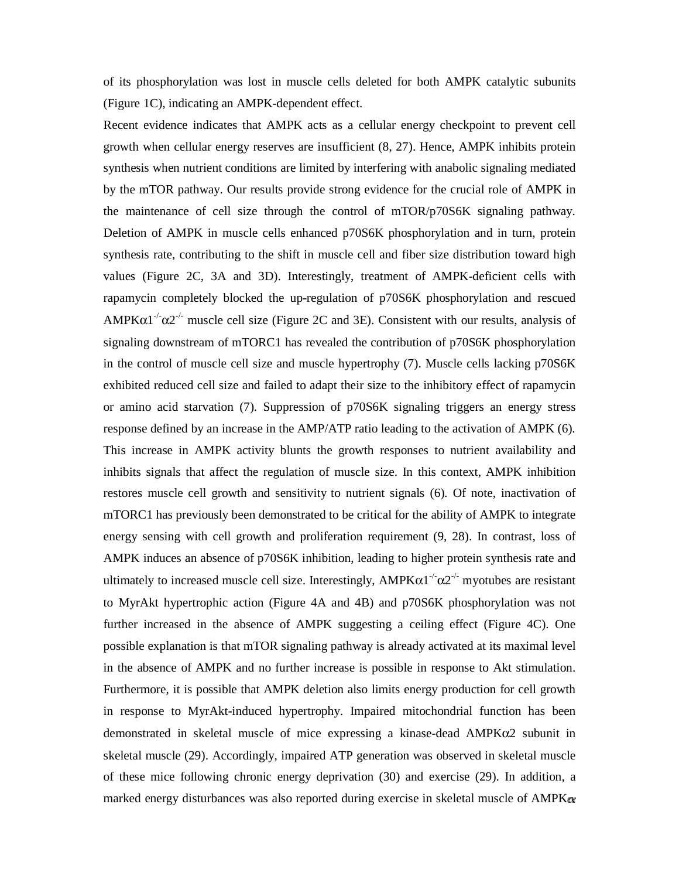of its phosphorylation was lost in muscle cells deleted for both AMPK catalytic subunits (Figure 1C), indicating an AMPK-dependent effect.

Recent evidence indicates that AMPK acts as a cellular energy checkpoint to prevent cell growth when cellular energy reserves are insufficient (8, 27). Hence, AMPK inhibits protein synthesis when nutrient conditions are limited by interfering with anabolic signaling mediated by the mTOR pathway. Our results provide strong evidence for the crucial role of AMPK in the maintenance of cell size through the control of mTOR/p70S6K signaling pathway. Deletion of AMPK in muscle cells enhanced p70S6K phosphorylation and in turn, protein synthesis rate, contributing to the shift in muscle cell and fiber size distribution toward high values (Figure 2C, 3A and 3D). Interestingly, treatment of AMPK-deficient cells with rapamycin completely blocked the up-regulation of p70S6K phosphorylation and rescued AMPK $\alpha$ 1<sup>-/-</sup> $\alpha$ 2<sup>-/-</sup> muscle cell size (Figure 2C and 3E). Consistent with our results, analysis of signaling downstream of mTORC1 has revealed the contribution of p70S6K phosphorylation in the control of muscle cell size and muscle hypertrophy (7). Muscle cells lacking p70S6K exhibited reduced cell size and failed to adapt their size to the inhibitory effect of rapamycin or amino acid starvation (7). Suppression of p70S6K signaling triggers an energy stress response defined by an increase in the AMP/ATP ratio leading to the activation of AMPK (6). This increase in AMPK activity blunts the growth responses to nutrient availability and inhibits signals that affect the regulation of muscle size. In this context, AMPK inhibition restores muscle cell growth and sensitivity to nutrient signals (6). Of note, inactivation of mTORC1 has previously been demonstrated to be critical for the ability of AMPK to integrate energy sensing with cell growth and proliferation requirement (9, 28). In contrast, loss of AMPK induces an absence of p70S6K inhibition, leading to higher protein synthesis rate and ultimately to increased muscle cell size. Interestingly, AMPKα1<sup>-/-</sup>α2<sup>-/-</sup> myotubes are resistant to MyrAkt hypertrophic action (Figure 4A and 4B) and p70S6K phosphorylation was not further increased in the absence of AMPK suggesting a ceiling effect (Figure 4C). One possible explanation is that mTOR signaling pathway is already activated at its maximal level in the absence of AMPK and no further increase is possible in response to Akt stimulation. Furthermore, it is possible that AMPK deletion also limits energy production for cell growth in response to MyrAkt-induced hypertrophy. Impaired mitochondrial function has been demonstrated in skeletal muscle of mice expressing a kinase-dead AMPKα2 subunit in skeletal muscle (29). Accordingly, impaired ATP generation was observed in skeletal muscle of these mice following chronic energy deprivation (30) and exercise (29). In addition, a marked energy disturbances was also reported during exercise in skeletal muscle of  $AMPK\alpha$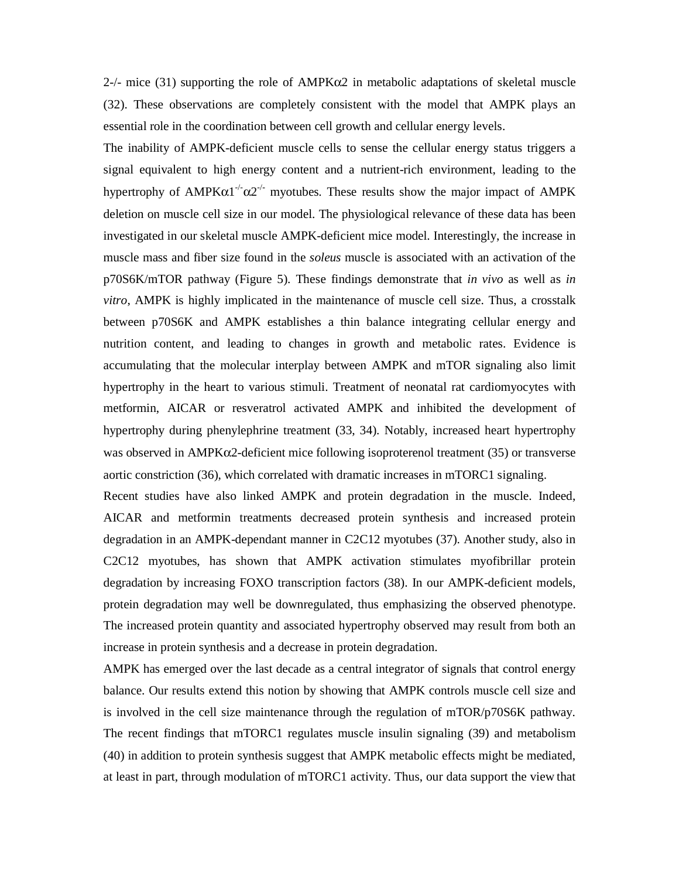2-/- mice (31) supporting the role of  $AMPK\alpha2$  in metabolic adaptations of skeletal muscle (32). These observations are completely consistent with the model that AMPK plays an essential role in the coordination between cell growth and cellular energy levels.

The inability of AMPK-deficient muscle cells to sense the cellular energy status triggers a signal equivalent to high energy content and a nutrient-rich environment, leading to the hypertrophy of AMPKα1<sup>-/-</sup>α2<sup>-/-</sup> myotubes. These results show the major impact of AMPK deletion on muscle cell size in our model. The physiological relevance of these data has been investigated in our skeletal muscle AMPK-deficient mice model. Interestingly, the increase in muscle mass and fiber size found in the *soleus* muscle is associated with an activation of the p70S6K/mTOR pathway (Figure 5). These findings demonstrate that *in vivo* as well as *in vitro*, AMPK is highly implicated in the maintenance of muscle cell size. Thus, a crosstalk between p70S6K and AMPK establishes a thin balance integrating cellular energy and nutrition content, and leading to changes in growth and metabolic rates. Evidence is accumulating that the molecular interplay between AMPK and mTOR signaling also limit hypertrophy in the heart to various stimuli. Treatment of neonatal rat cardiomyocytes with metformin, AICAR or resveratrol activated AMPK and inhibited the development of hypertrophy during phenylephrine treatment (33, 34). Notably, increased heart hypertrophy was observed in  $AMPK\alpha2$ -deficient mice following isoproterenol treatment (35) or transverse aortic constriction (36), which correlated with dramatic increases in mTORC1 signaling.

Recent studies have also linked AMPK and protein degradation in the muscle. Indeed, AICAR and metformin treatments decreased protein synthesis and increased protein degradation in an AMPK-dependant manner in C2C12 myotubes (37). Another study, also in C2C12 myotubes, has shown that AMPK activation stimulates myofibrillar protein degradation by increasing FOXO transcription factors (38). In our AMPK-deficient models, protein degradation may well be downregulated, thus emphasizing the observed phenotype. The increased protein quantity and associated hypertrophy observed may result from both an increase in protein synthesis and a decrease in protein degradation.

AMPK has emerged over the last decade as a central integrator of signals that control energy balance. Our results extend this notion by showing that AMPK controls muscle cell size and is involved in the cell size maintenance through the regulation of mTOR/p70S6K pathway. The recent findings that mTORC1 regulates muscle insulin signaling (39) and metabolism (40) in addition to protein synthesis suggest that AMPK metabolic effects might be mediated, at least in part, through modulation of mTORC1 activity. Thus, our data support the view that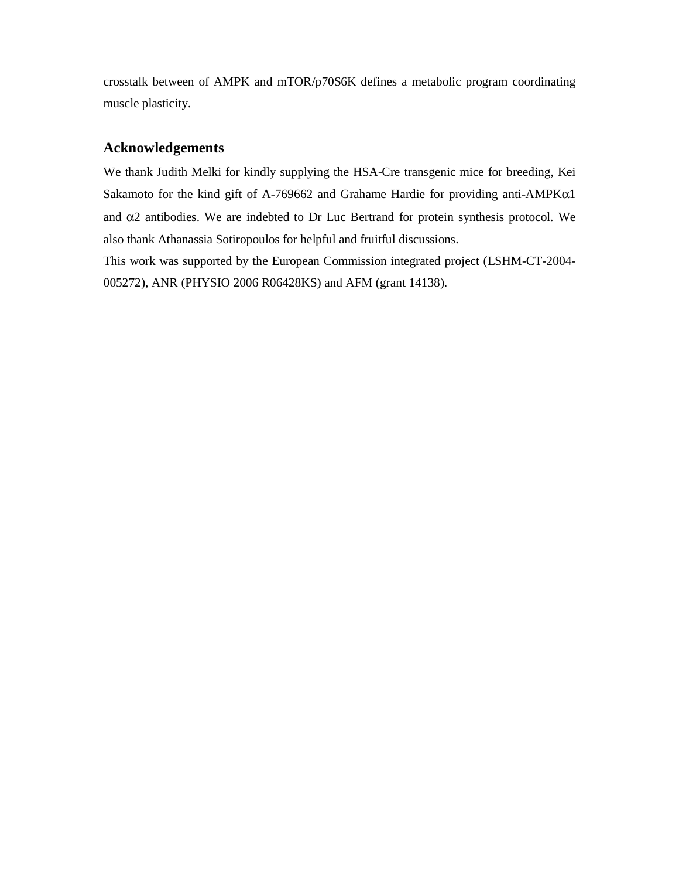crosstalk between of AMPK and mTOR/p70S6K defines a metabolic program coordinating muscle plasticity.

### **Acknowledgements**

We thank Judith Melki for kindly supplying the HSA-Cre transgenic mice for breeding, Kei Sakamoto for the kind gift of A-769662 and Grahame Hardie for providing anti-AMPKα1 and  $\alpha$ 2 antibodies. We are indebted to Dr Luc Bertrand for protein synthesis protocol. We also thank Athanassia Sotiropoulos for helpful and fruitful discussions.

This work was supported by the European Commission integrated project (LSHM-CT-2004- 005272), ANR (PHYSIO 2006 R06428KS) and AFM (grant 14138).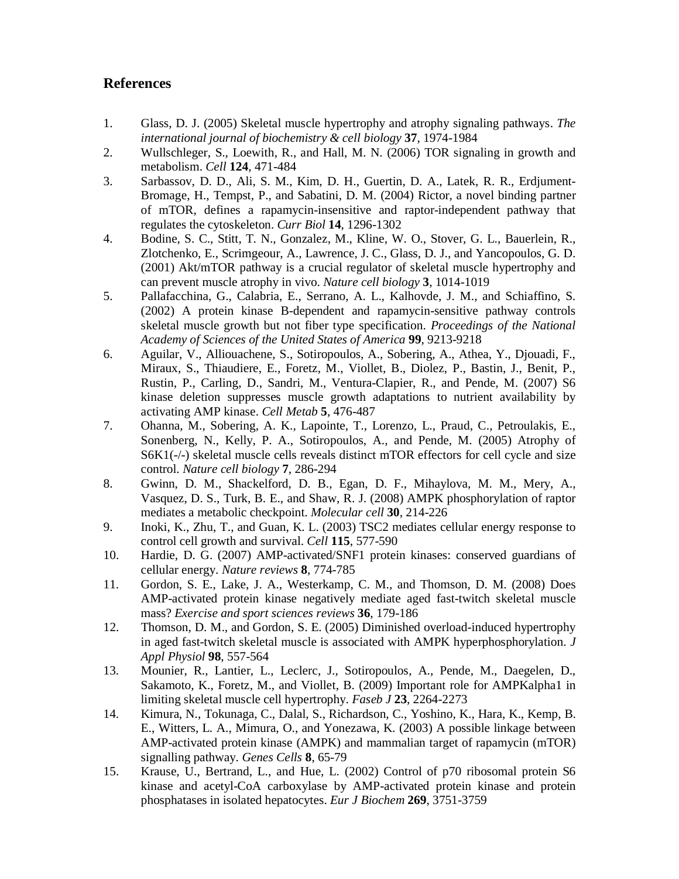## **References**

- 1. Glass, D. J. (2005) Skeletal muscle hypertrophy and atrophy signaling pathways. *The international journal of biochemistry & cell biology* **37**, 1974-1984
- 2. Wullschleger, S., Loewith, R., and Hall, M. N. (2006) TOR signaling in growth and metabolism. *Cell* **124**, 471-484
- 3. Sarbassov, D. D., Ali, S. M., Kim, D. H., Guertin, D. A., Latek, R. R., Erdjument-Bromage, H., Tempst, P., and Sabatini, D. M. (2004) Rictor, a novel binding partner of mTOR, defines a rapamycin-insensitive and raptor-independent pathway that regulates the cytoskeleton. *Curr Biol* **14**, 1296-1302
- 4. Bodine, S. C., Stitt, T. N., Gonzalez, M., Kline, W. O., Stover, G. L., Bauerlein, R., Zlotchenko, E., Scrimgeour, A., Lawrence, J. C., Glass, D. J., and Yancopoulos, G. D. (2001) Akt/mTOR pathway is a crucial regulator of skeletal muscle hypertrophy and can prevent muscle atrophy in vivo. *Nature cell biology* **3**, 1014-1019
- 5. Pallafacchina, G., Calabria, E., Serrano, A. L., Kalhovde, J. M., and Schiaffino, S. (2002) A protein kinase B-dependent and rapamycin-sensitive pathway controls skeletal muscle growth but not fiber type specification. *Proceedings of the National Academy of Sciences of the United States of America* **99**, 9213-9218
- 6. Aguilar, V., Alliouachene, S., Sotiropoulos, A., Sobering, A., Athea, Y., Djouadi, F., Miraux, S., Thiaudiere, E., Foretz, M., Viollet, B., Diolez, P., Bastin, J., Benit, P., Rustin, P., Carling, D., Sandri, M., Ventura-Clapier, R., and Pende, M. (2007) S6 kinase deletion suppresses muscle growth adaptations to nutrient availability by activating AMP kinase. *Cell Metab* **5**, 476-487
- 7. Ohanna, M., Sobering, A. K., Lapointe, T., Lorenzo, L., Praud, C., Petroulakis, E., Sonenberg, N., Kelly, P. A., Sotiropoulos, A., and Pende, M. (2005) Atrophy of S6K1(-/-) skeletal muscle cells reveals distinct mTOR effectors for cell cycle and size control. *Nature cell biology* **7**, 286-294
- 8. Gwinn, D. M., Shackelford, D. B., Egan, D. F., Mihaylova, M. M., Mery, A., Vasquez, D. S., Turk, B. E., and Shaw, R. J. (2008) AMPK phosphorylation of raptor mediates a metabolic checkpoint. *Molecular cell* **30**, 214-226
- 9. Inoki, K., Zhu, T., and Guan, K. L. (2003) TSC2 mediates cellular energy response to control cell growth and survival. *Cell* **115**, 577-590
- 10. Hardie, D. G. (2007) AMP-activated/SNF1 protein kinases: conserved guardians of cellular energy. *Nature reviews* **8**, 774-785
- 11. Gordon, S. E., Lake, J. A., Westerkamp, C. M., and Thomson, D. M. (2008) Does AMP-activated protein kinase negatively mediate aged fast-twitch skeletal muscle mass? *Exercise and sport sciences reviews* **36**, 179-186
- 12. Thomson, D. M., and Gordon, S. E. (2005) Diminished overload-induced hypertrophy in aged fast-twitch skeletal muscle is associated with AMPK hyperphosphorylation. *J Appl Physiol* **98**, 557-564
- 13. Mounier, R., Lantier, L., Leclerc, J., Sotiropoulos, A., Pende, M., Daegelen, D., Sakamoto, K., Foretz, M., and Viollet, B. (2009) Important role for AMPKalpha1 in limiting skeletal muscle cell hypertrophy. *Faseb J* **23**, 2264-2273
- 14. Kimura, N., Tokunaga, C., Dalal, S., Richardson, C., Yoshino, K., Hara, K., Kemp, B. E., Witters, L. A., Mimura, O., and Yonezawa, K. (2003) A possible linkage between AMP-activated protein kinase (AMPK) and mammalian target of rapamycin (mTOR) signalling pathway. *Genes Cells* **8**, 65-79
- 15. Krause, U., Bertrand, L., and Hue, L. (2002) Control of p70 ribosomal protein S6 kinase and acetyl-CoA carboxylase by AMP-activated protein kinase and protein phosphatases in isolated hepatocytes. *Eur J Biochem* **269**, 3751-3759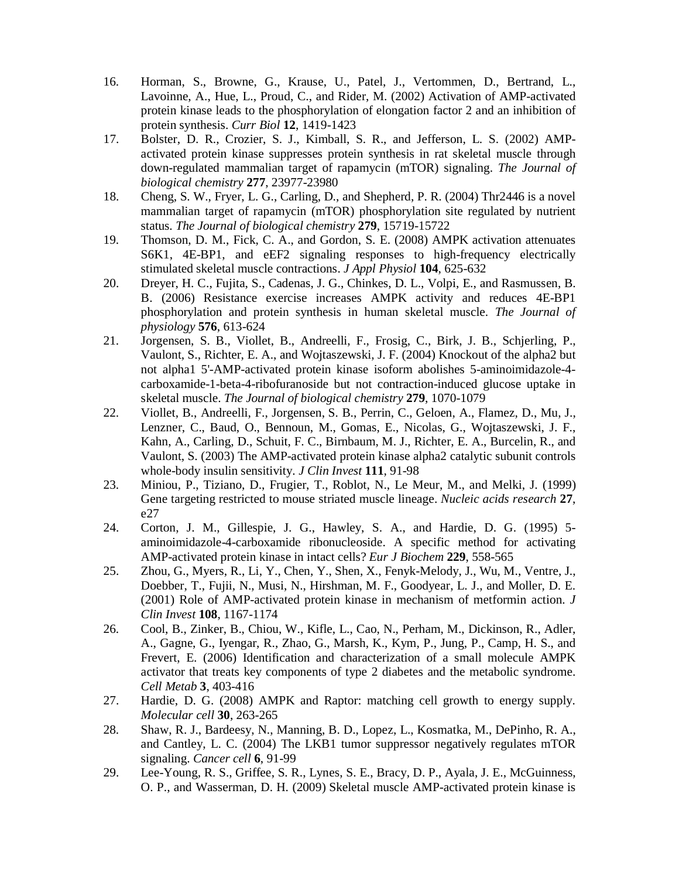- 16. Horman, S., Browne, G., Krause, U., Patel, J., Vertommen, D., Bertrand, L., Lavoinne, A., Hue, L., Proud, C., and Rider, M. (2002) Activation of AMP-activated protein kinase leads to the phosphorylation of elongation factor 2 and an inhibition of protein synthesis. *Curr Biol* **12**, 1419-1423
- 17. Bolster, D. R., Crozier, S. J., Kimball, S. R., and Jefferson, L. S. (2002) AMPactivated protein kinase suppresses protein synthesis in rat skeletal muscle through down-regulated mammalian target of rapamycin (mTOR) signaling. *The Journal of biological chemistry* **277**, 23977-23980
- 18. Cheng, S. W., Fryer, L. G., Carling, D., and Shepherd, P. R. (2004) Thr2446 is a novel mammalian target of rapamycin (mTOR) phosphorylation site regulated by nutrient status. *The Journal of biological chemistry* **279**, 15719-15722
- 19. Thomson, D. M., Fick, C. A., and Gordon, S. E. (2008) AMPK activation attenuates S6K1, 4E-BP1, and eEF2 signaling responses to high-frequency electrically stimulated skeletal muscle contractions. *J Appl Physiol* **104**, 625-632
- 20. Dreyer, H. C., Fujita, S., Cadenas, J. G., Chinkes, D. L., Volpi, E., and Rasmussen, B. B. (2006) Resistance exercise increases AMPK activity and reduces 4E-BP1 phosphorylation and protein synthesis in human skeletal muscle. *The Journal of physiology* **576**, 613-624
- 21. Jorgensen, S. B., Viollet, B., Andreelli, F., Frosig, C., Birk, J. B., Schjerling, P., Vaulont, S., Richter, E. A., and Wojtaszewski, J. F. (2004) Knockout of the alpha2 but not alpha1 5'-AMP-activated protein kinase isoform abolishes 5-aminoimidazole-4 carboxamide-1-beta-4-ribofuranoside but not contraction-induced glucose uptake in skeletal muscle. *The Journal of biological chemistry* **279**, 1070-1079
- 22. Viollet, B., Andreelli, F., Jorgensen, S. B., Perrin, C., Geloen, A., Flamez, D., Mu, J., Lenzner, C., Baud, O., Bennoun, M., Gomas, E., Nicolas, G., Wojtaszewski, J. F., Kahn, A., Carling, D., Schuit, F. C., Birnbaum, M. J., Richter, E. A., Burcelin, R., and Vaulont, S. (2003) The AMP-activated protein kinase alpha2 catalytic subunit controls whole-body insulin sensitivity. *J Clin Invest* **111**, 91-98
- 23. Miniou, P., Tiziano, D., Frugier, T., Roblot, N., Le Meur, M., and Melki, J. (1999) Gene targeting restricted to mouse striated muscle lineage. *Nucleic acids research* **27**, e27
- 24. Corton, J. M., Gillespie, J. G., Hawley, S. A., and Hardie, D. G. (1995) 5 aminoimidazole-4-carboxamide ribonucleoside. A specific method for activating AMP-activated protein kinase in intact cells? *Eur J Biochem* **229**, 558-565
- 25. Zhou, G., Myers, R., Li, Y., Chen, Y., Shen, X., Fenyk-Melody, J., Wu, M., Ventre, J., Doebber, T., Fujii, N., Musi, N., Hirshman, M. F., Goodyear, L. J., and Moller, D. E. (2001) Role of AMP-activated protein kinase in mechanism of metformin action. *J Clin Invest* **108**, 1167-1174
- 26. Cool, B., Zinker, B., Chiou, W., Kifle, L., Cao, N., Perham, M., Dickinson, R., Adler, A., Gagne, G., Iyengar, R., Zhao, G., Marsh, K., Kym, P., Jung, P., Camp, H. S., and Frevert, E. (2006) Identification and characterization of a small molecule AMPK activator that treats key components of type 2 diabetes and the metabolic syndrome. *Cell Metab* **3**, 403-416
- 27. Hardie, D. G. (2008) AMPK and Raptor: matching cell growth to energy supply. *Molecular cell* **30**, 263-265
- 28. Shaw, R. J., Bardeesy, N., Manning, B. D., Lopez, L., Kosmatka, M., DePinho, R. A., and Cantley, L. C. (2004) The LKB1 tumor suppressor negatively regulates mTOR signaling. *Cancer cell* **6**, 91-99
- 29. Lee-Young, R. S., Griffee, S. R., Lynes, S. E., Bracy, D. P., Ayala, J. E., McGuinness, O. P., and Wasserman, D. H. (2009) Skeletal muscle AMP-activated protein kinase is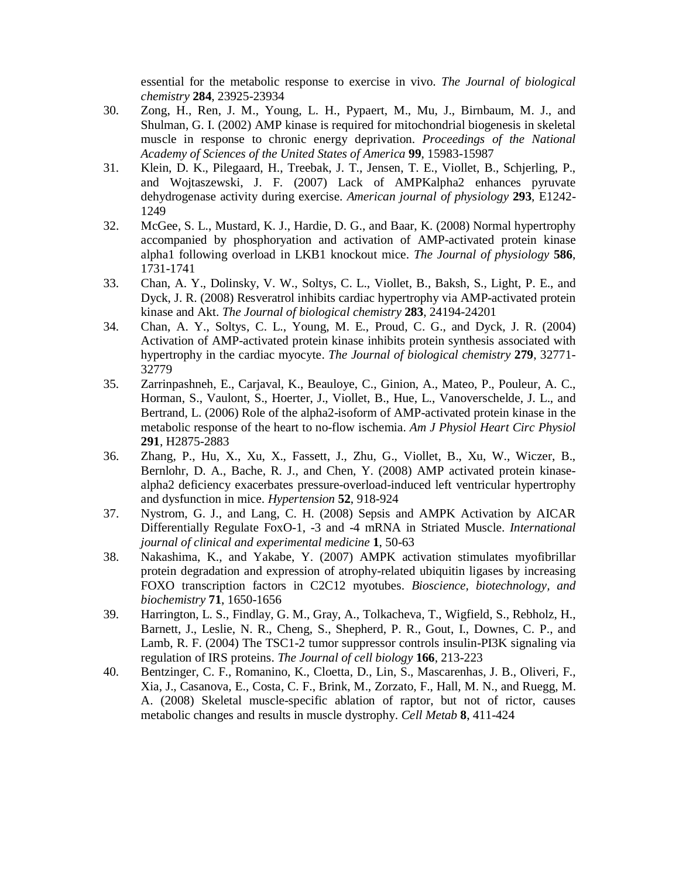essential for the metabolic response to exercise in vivo. *The Journal of biological chemistry* **284**, 23925-23934

- 30. Zong, H., Ren, J. M., Young, L. H., Pypaert, M., Mu, J., Birnbaum, M. J., and Shulman, G. I. (2002) AMP kinase is required for mitochondrial biogenesis in skeletal muscle in response to chronic energy deprivation. *Proceedings of the National Academy of Sciences of the United States of America* **99**, 15983-15987
- 31. Klein, D. K., Pilegaard, H., Treebak, J. T., Jensen, T. E., Viollet, B., Schjerling, P., and Wojtaszewski, J. F. (2007) Lack of AMPKalpha2 enhances pyruvate dehydrogenase activity during exercise. *American journal of physiology* **293**, E1242- 1249
- 32. McGee, S. L., Mustard, K. J., Hardie, D. G., and Baar, K. (2008) Normal hypertrophy accompanied by phosphoryation and activation of AMP-activated protein kinase alpha1 following overload in LKB1 knockout mice. *The Journal of physiology* **586**, 1731-1741
- 33. Chan, A. Y., Dolinsky, V. W., Soltys, C. L., Viollet, B., Baksh, S., Light, P. E., and Dyck, J. R. (2008) Resveratrol inhibits cardiac hypertrophy via AMP-activated protein kinase and Akt. *The Journal of biological chemistry* **283**, 24194-24201
- 34. Chan, A. Y., Soltys, C. L., Young, M. E., Proud, C. G., and Dyck, J. R. (2004) Activation of AMP-activated protein kinase inhibits protein synthesis associated with hypertrophy in the cardiac myocyte. *The Journal of biological chemistry* **279**, 32771- 32779
- 35. Zarrinpashneh, E., Carjaval, K., Beauloye, C., Ginion, A., Mateo, P., Pouleur, A. C., Horman, S., Vaulont, S., Hoerter, J., Viollet, B., Hue, L., Vanoverschelde, J. L., and Bertrand, L. (2006) Role of the alpha2-isoform of AMP-activated protein kinase in the metabolic response of the heart to no-flow ischemia. *Am J Physiol Heart Circ Physiol* **291**, H2875-2883
- 36. Zhang, P., Hu, X., Xu, X., Fassett, J., Zhu, G., Viollet, B., Xu, W., Wiczer, B., Bernlohr, D. A., Bache, R. J., and Chen, Y. (2008) AMP activated protein kinasealpha2 deficiency exacerbates pressure-overload-induced left ventricular hypertrophy and dysfunction in mice. *Hypertension* **52**, 918-924
- 37. Nystrom, G. J., and Lang, C. H. (2008) Sepsis and AMPK Activation by AICAR Differentially Regulate FoxO-1, -3 and -4 mRNA in Striated Muscle. *International journal of clinical and experimental medicine* **1**, 50-63
- 38. Nakashima, K., and Yakabe, Y. (2007) AMPK activation stimulates myofibrillar protein degradation and expression of atrophy-related ubiquitin ligases by increasing FOXO transcription factors in C2C12 myotubes. *Bioscience, biotechnology, and biochemistry* **71**, 1650-1656
- 39. Harrington, L. S., Findlay, G. M., Gray, A., Tolkacheva, T., Wigfield, S., Rebholz, H., Barnett, J., Leslie, N. R., Cheng, S., Shepherd, P. R., Gout, I., Downes, C. P., and Lamb, R. F. (2004) The TSC1-2 tumor suppressor controls insulin-PI3K signaling via regulation of IRS proteins. *The Journal of cell biology* **166**, 213-223
- 40. Bentzinger, C. F., Romanino, K., Cloetta, D., Lin, S., Mascarenhas, J. B., Oliveri, F., Xia, J., Casanova, E., Costa, C. F., Brink, M., Zorzato, F., Hall, M. N., and Ruegg, M. A. (2008) Skeletal muscle-specific ablation of raptor, but not of rictor, causes metabolic changes and results in muscle dystrophy. *Cell Metab* **8**, 411-424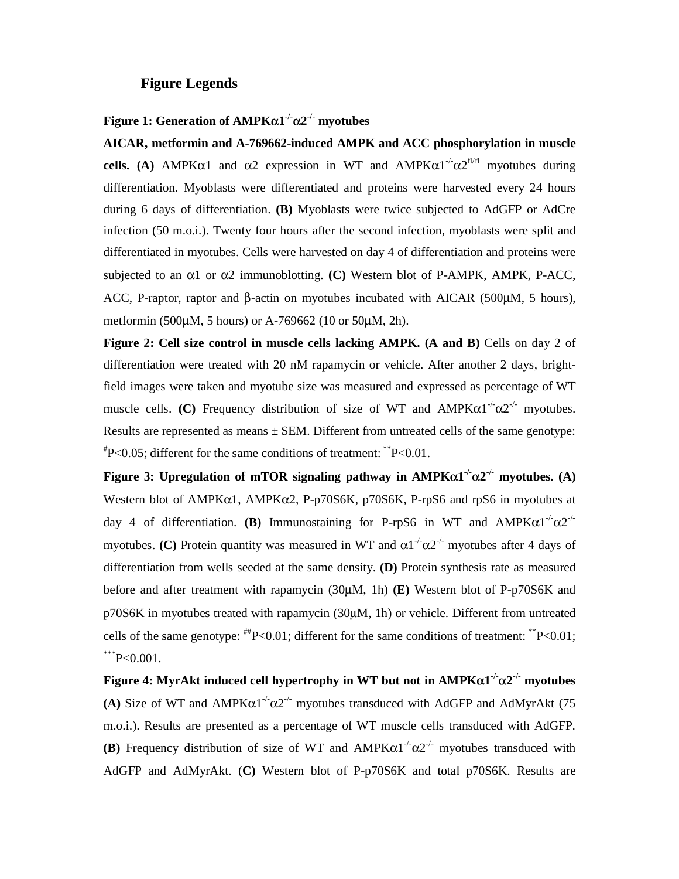#### **Figure Legends**

#### **Figure 1: Generation of AMPK**α**1-/-**α**2-/- myotubes**

**AICAR, metformin and A-769662-induced AMPK and ACC phosphorylation in muscle cells.** (A) AMPK $\alpha$ 1 and  $\alpha$ 2 expression in WT and AMPK $\alpha$ 1<sup>-/-</sup> $\alpha$ 2<sup>fl/fl</sup> myotubes during differentiation. Myoblasts were differentiated and proteins were harvested every 24 hours during 6 days of differentiation. **(B)** Myoblasts were twice subjected to AdGFP or AdCre infection (50 m.o.i.). Twenty four hours after the second infection, myoblasts were split and differentiated in myotubes. Cells were harvested on day 4 of differentiation and proteins were subjected to an α1 or α2 immunoblotting. **(C)** Western blot of P-AMPK, AMPK, P-ACC, ACC, P-raptor, raptor and β-actin on myotubes incubated with AICAR (500μM, 5 hours), metformin (500μM, 5 hours) or A-769662 (10 or 50μM, 2h).

**Figure 2: Cell size control in muscle cells lacking AMPK. (A and B)** Cells on day 2 of differentiation were treated with 20 nM rapamycin or vehicle. After another 2 days, brightfield images were taken and myotube size was measured and expressed as percentage of WT muscle cells. **(C)** Frequency distribution of size of WT and  $AMPK\alpha1^{-1}\alpha2^{-1}$  myotubes. Results are represented as means  $\pm$  SEM. Different from untreated cells of the same genotype:  $P^*P<0.05$ ; different for the same conditions of treatment: \*\* $P<0.01$ .

**Figure 3: Upregulation of mTOR signaling pathway in**  $AMPK\alpha1^{-1}\alpha2^{-1}$  **myotubes. (A)** Western blot of AMPKα1, AMPKα2, P-p70S6K, p70S6K, P-rpS6 and rpS6 in myotubes at day 4 of differentiation. **(B)** Immunostaining for P-rpS6 in WT and AMPK $\alpha$ 1<sup>-/-</sup> $\alpha$ 2<sup>-/-</sup> myotubes. **(C)** Protein quantity was measured in WT and  $\alpha 1^{-1} \alpha 2^{-1}$  myotubes after 4 days of differentiation from wells seeded at the same density. **(D)** Protein synthesis rate as measured before and after treatment with rapamycin (30μM, 1h) **(E)** Western blot of P-p70S6K and p70S6K in myotubes treated with rapamycin (30μM, 1h) or vehicle. Different from untreated cells of the same genotype:  $H^*P < 0.01$ ; different for the same conditions of treatment:  $H^*P < 0.01$ ;  $*^{**}P<0.001$ .

**Figure 4: MyrAkt induced cell hypertrophy in WT but not in AMPKα1<sup>-/-</sup>α2<sup>-/-</sup> myotubes (A)** Size of WT and AMPK $\alpha$ 1<sup>-/-</sup> $\alpha$ 2<sup>-/-</sup> myotubes transduced with AdGFP and AdMyrAkt (75 m.o.i.). Results are presented as a percentage of WT muscle cells transduced with AdGFP. **(B)** Frequency distribution of size of WT and  $AMPK\alpha1^{-1}\alpha2^{-1}$  myotubes transduced with AdGFP and AdMyrAkt. (**C)** Western blot of P-p70S6K and total p70S6K. Results are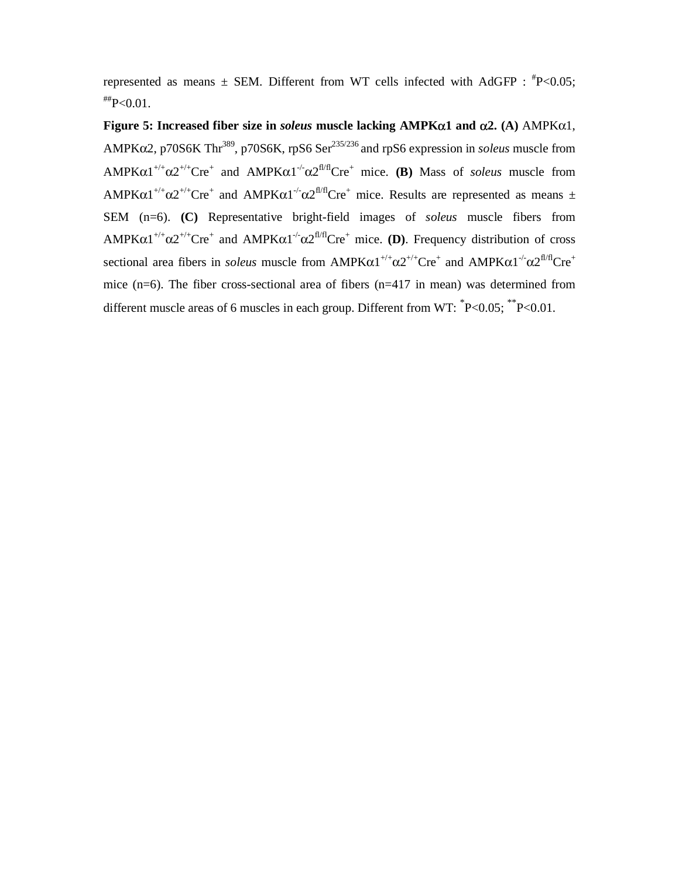represented as means  $\pm$  SEM. Different from WT cells infected with AdGFP :  $^{#}P<0.05$ ;  $H^*P<0.01$ .

**Figure 5: Increased fiber size in** *soleus* **muscle lacking AMPK**α**1 and** α**2. (A)** AMPKα1, AMPK $\alpha$ 2, p70S6K Thr<sup>389</sup>, p70S6K, rpS6 Ser<sup>235/236</sup> and rpS6 expression in *soleus* muscle from  $AMPK\alpha1^{+/+}\alpha2^{+/+}Cre^+$  and  $AMPK\alpha1^{+/}\alpha2^{f1/f}Cre^+$  mice. **(B)** Mass of *soleus* muscle from AMPK $\alpha$ 1<sup>+/+</sup> $\alpha$ 2<sup>+/+</sup>Cre<sup>+</sup> and AMPK $\alpha$ 1<sup>-/-</sup> $\alpha$ 2<sup>fl/fl</sup>Cre<sup>+</sup> mice. Results are represented as means  $\pm$ SEM (n=6). **(C)** Representative bright-field images of *soleus* muscle fibers from  $AMPK\alpha1^{+/+}\alpha2^{+/+}Cre^+$  and  $AMPK\alpha1^{+/}\alpha2^{fl/f}Cre^+$  mice. (D). Frequency distribution of cross sectional area fibers in *soleus* muscle from  $AMPK\alpha1^{+/+}\alpha2^{+/+}Cre^+$  and  $AMPK\alpha1^{-/-}\alpha2^{fl/I}Cre^+$ mice (n=6). The fiber cross-sectional area of fibers (n=417 in mean) was determined from different muscle areas of 6 muscles in each group. Different from WT:  $^{\ast}P<0.05$ ;  $^{\ast\ast}P<0.01$ .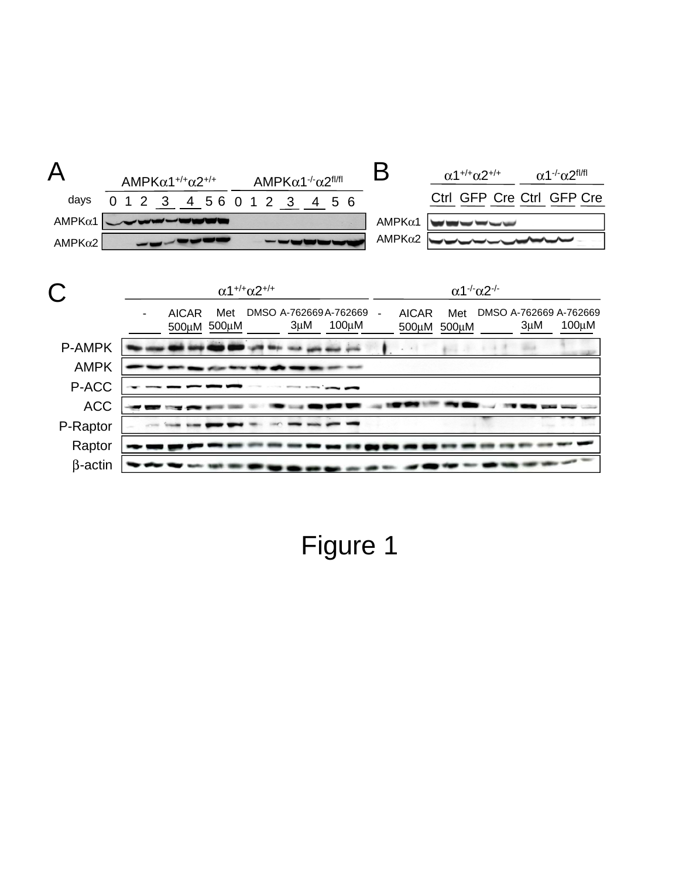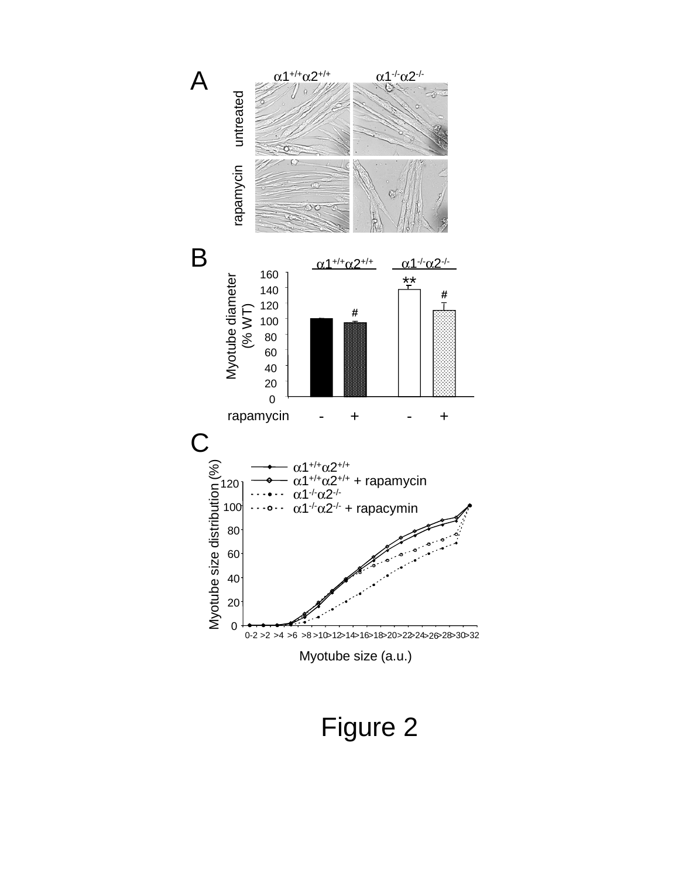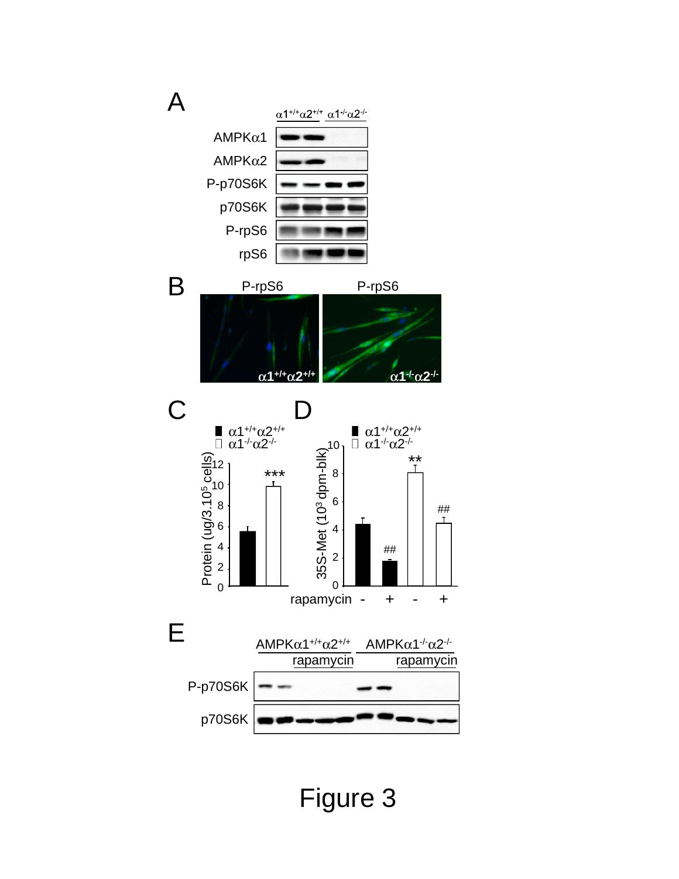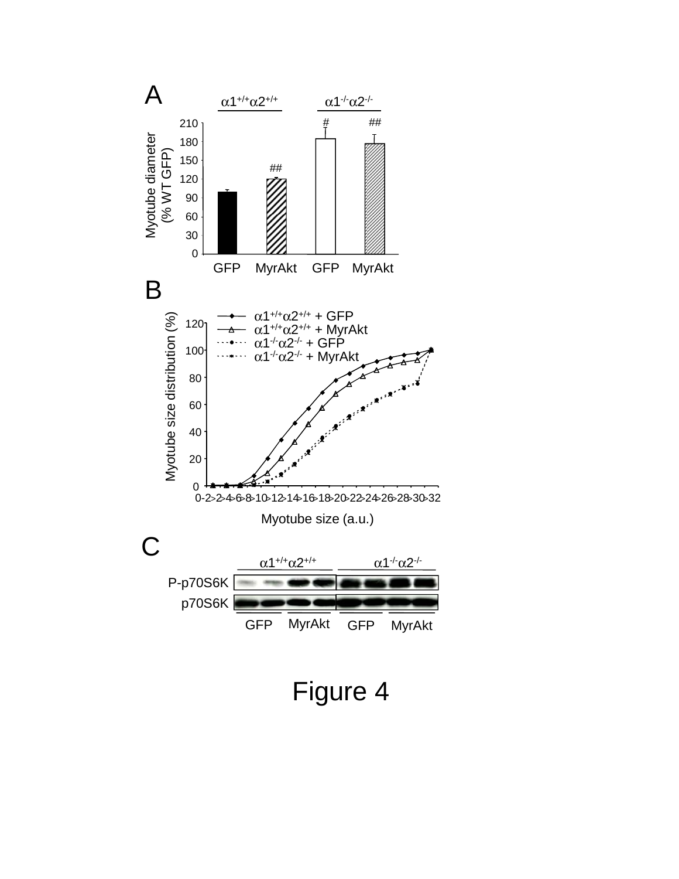